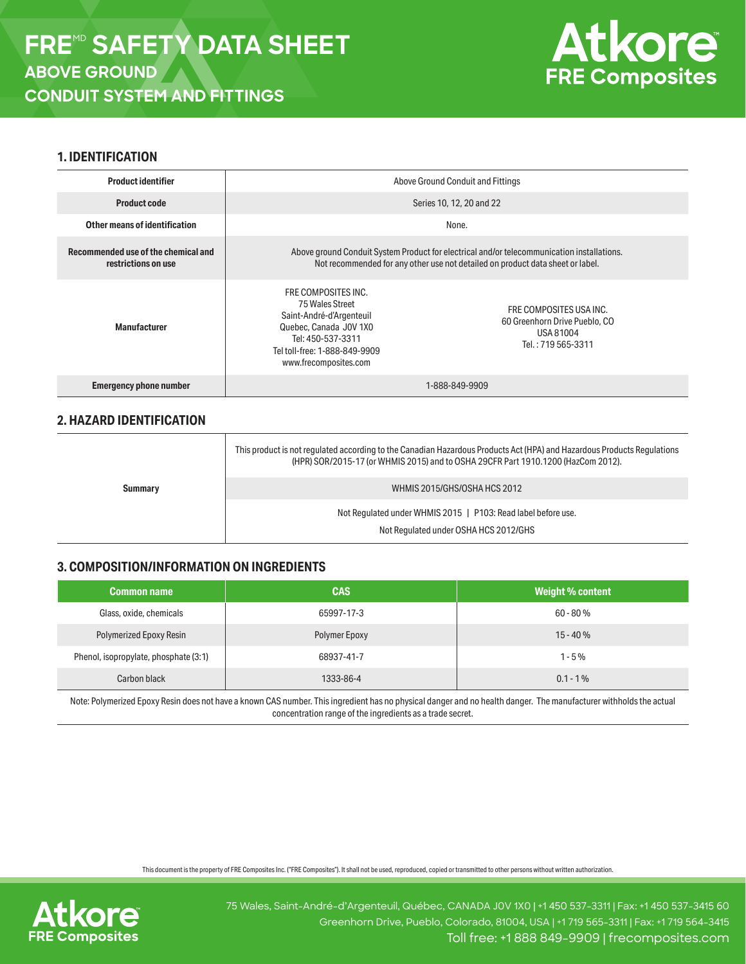

## **1. IDENTIFICATION**

| <b>Product identifier</b>                                  | Above Ground Conduit and Fittings                                                                                                                                            |                                                                                             |  |
|------------------------------------------------------------|------------------------------------------------------------------------------------------------------------------------------------------------------------------------------|---------------------------------------------------------------------------------------------|--|
| <b>Product code</b>                                        | Series 10, 12, 20 and 22                                                                                                                                                     |                                                                                             |  |
| Other means of identification                              | None.                                                                                                                                                                        |                                                                                             |  |
| Recommended use of the chemical and<br>restrictions on use | Above ground Conduit System Product for electrical and/or telecommunication installations.<br>Not recommended for any other use not detailed on product data sheet or label. |                                                                                             |  |
| <b>Manufacturer</b>                                        | FRE COMPOSITES INC.<br>75 Wales Street<br>Saint-André-d'Argenteuil<br>Quebec, Canada J0V 1X0<br>Tel: 450-537-3311<br>Tel toll-free: 1-888-849-9909<br>www.frecomposites.com  | FRE COMPOSITES USA INC.<br>60 Greenhorn Drive Pueblo, CO<br>USA 81004<br>Tel.: 719 565-3311 |  |
| <b>Emergency phone number</b>                              | 1-888-849-9909                                                                                                                                                               |                                                                                             |  |

# **2. HAZARD IDENTIFICATION**

| Summary | This product is not regulated according to the Canadian Hazardous Products Act (HPA) and Hazardous Products Regulations<br>(HPR) SOR/2015-17 (or WHMIS 2015) and to OSHA 29CFR Part 1910.1200 (HazCom 2012). |  |  |
|---------|--------------------------------------------------------------------------------------------------------------------------------------------------------------------------------------------------------------|--|--|
|         | WHMIS 2015/GHS/OSHA HCS 2012                                                                                                                                                                                 |  |  |
|         | Not Regulated under WHMIS 2015   P103: Read label before use.                                                                                                                                                |  |  |
|         | Not Regulated under OSHA HCS 2012/GHS                                                                                                                                                                        |  |  |

# **3. COMPOSITION/INFORMATION ON INGREDIENTS**

| <b>Common name</b>                    | <b>CAS</b>    | Weight % content |
|---------------------------------------|---------------|------------------|
| Glass, oxide, chemicals               | 65997-17-3    | $60 - 80%$       |
| Polymerized Epoxy Resin               | Polymer Epoxy | $15 - 40%$       |
| Phenol, isopropylate, phosphate (3:1) | 68937-41-7    | $1 - 5\%$        |
| Carbon black                          | 1333-86-4     | $0.1 - 1\%$      |

Note: Polymerized Epoxy Resin does not have a known CAS number. This ingredient has no physical danger and no health danger. The manufacturer withholds the actual concentration range of the ingredients as a trade secret.

This document is the property of FRE Composites Inc. ("FRE Composites"). It shall not be used, reproduced, copied or transmitted to other persons without written authorization.

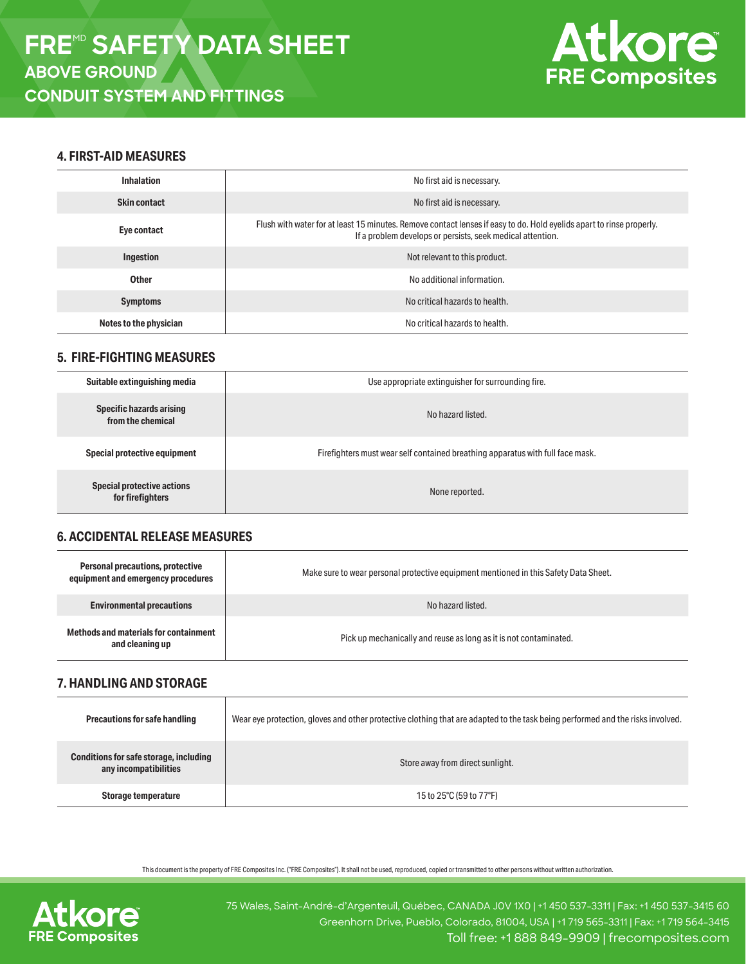

## **4. FIRST-AID MEASURES**

| <b>Inhalation</b>      | No first aid is necessary.                                                                                                                                                         |  |  |
|------------------------|------------------------------------------------------------------------------------------------------------------------------------------------------------------------------------|--|--|
| <b>Skin contact</b>    | No first aid is necessary.                                                                                                                                                         |  |  |
| Eye contact            | Flush with water for at least 15 minutes. Remove contact lenses if easy to do. Hold eyelids apart to rinse properly.<br>If a problem develops or persists, seek medical attention. |  |  |
| Ingestion              | Not relevant to this product.                                                                                                                                                      |  |  |
| <b>Other</b>           | No additional information.                                                                                                                                                         |  |  |
| <b>Symptoms</b>        | No critical hazards to health.                                                                                                                                                     |  |  |
| Notes to the physician | No critical hazards to health.                                                                                                                                                     |  |  |

### **5. FIRE-FIGHTING MEASURES**

| Suitable extinguishing media                          | Use appropriate extinguisher for surrounding fire.                             |  |  |
|-------------------------------------------------------|--------------------------------------------------------------------------------|--|--|
| <b>Specific hazards arising</b><br>from the chemical  | No hazard listed.                                                              |  |  |
| Special protective equipment                          | Firefighters must wear self contained breathing apparatus with full face mask. |  |  |
| <b>Special protective actions</b><br>for firefighters | None reported.                                                                 |  |  |

# **6. ACCIDENTAL RELEASE MEASURES**

| Personal precautions, protective<br>equipment and emergency procedures | Make sure to wear personal protective equipment mentioned in this Safety Data Sheet. |  |  |
|------------------------------------------------------------------------|--------------------------------------------------------------------------------------|--|--|
| <b>Environmental precautions</b>                                       | No hazard listed.                                                                    |  |  |
| Methods and materials for containment<br>and cleaning up               | Pick up mechanically and reuse as long as it is not contaminated.                    |  |  |

# **7. HANDLING AND STORAGE**

| <b>Precautions for safe handling</b>                            | Wear eye protection, gloves and other protective clothing that are adapted to the task being performed and the risks involved. |  |  |
|-----------------------------------------------------------------|--------------------------------------------------------------------------------------------------------------------------------|--|--|
| Conditions for safe storage, including<br>any incompatibilities | Store away from direct sunlight.                                                                                               |  |  |
| Storage temperature                                             | 15 to 25°C (59 to 77°F)                                                                                                        |  |  |

This document is the property of FRE Composites Inc. ("FRE Composites"). It shall not be used, reproduced, copied or transmitted to other persons without written authorization.

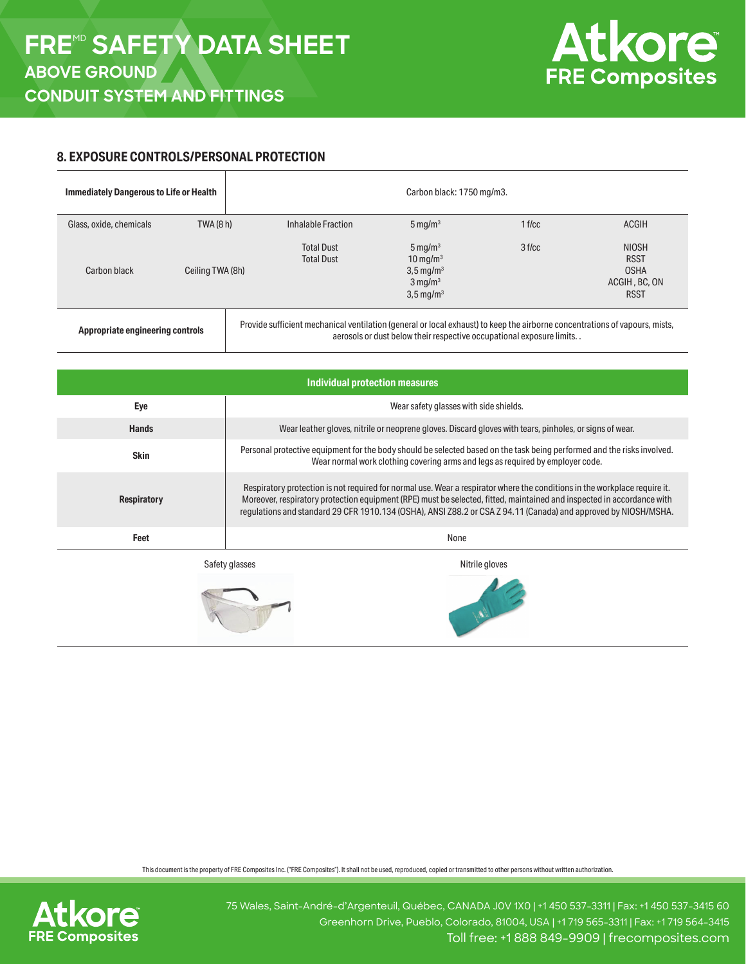

## **8. EXPOSURE CONTROLS/PERSONAL PROTECTION**

| <b>Immediately Dangerous to Life or Health</b> |                  |                                                                                                                             | Carbon black: 1750 mg/m3.                                                                                                      |          |                                                                            |
|------------------------------------------------|------------------|-----------------------------------------------------------------------------------------------------------------------------|--------------------------------------------------------------------------------------------------------------------------------|----------|----------------------------------------------------------------------------|
| Glass, oxide, chemicals                        | TWA (8 h)        | Inhalable Fraction                                                                                                          | $5 \,\mathrm{mg/m^3}$                                                                                                          | $1$ f/cc | <b>ACGIH</b>                                                               |
| Carbon black                                   | Ceiling TWA (8h) | <b>Total Dust</b><br><b>Total Dust</b>                                                                                      | $5 \,\mathrm{mg/m^3}$<br>$10 \,\mathrm{mq/m^3}$<br>$3,5 \,\mathrm{mg/m^3}$<br>$3 \,\mathrm{mq/m^3}$<br>$3,5 \,\mathrm{mg/m^3}$ | 3 f/cc   | <b>NIOSH</b><br><b>RSST</b><br><b>OSHA</b><br>ACGIH, BC, ON<br><b>RSST</b> |
| Appropriate engineering controls               |                  | Provide sufficient mechanical ventilation (general or local exhaust) to keep the airborne concentrations of vapours, mists, | aerosols or dust below their respective occupational exposure limits. .                                                        |          |                                                                            |

| Individual protection measures |                                                                                                                                                                                                                                                                                                                                                                         |  |  |
|--------------------------------|-------------------------------------------------------------------------------------------------------------------------------------------------------------------------------------------------------------------------------------------------------------------------------------------------------------------------------------------------------------------------|--|--|
| Eye                            | Wear safety glasses with side shields.                                                                                                                                                                                                                                                                                                                                  |  |  |
| <b>Hands</b>                   | Wear leather gloves, nitrile or neoprene gloves. Discard gloves with tears, pinholes, or signs of wear.                                                                                                                                                                                                                                                                 |  |  |
| <b>Skin</b>                    | Personal protective equipment for the body should be selected based on the task being performed and the risks involved.<br>Wear normal work clothing covering arms and legs as required by employer code.                                                                                                                                                               |  |  |
| <b>Respiratory</b>             | Respiratory protection is not required for normal use. Wear a respirator where the conditions in the workplace require it.<br>Moreover, respiratory protection equipment (RPE) must be selected, fitted, maintained and inspected in accordance with<br>regulations and standard 29 CFR 1910.134 (OSHA), ANSI Z88.2 or CSA Z 94.11 (Canada) and approved by NIOSH/MSHA. |  |  |
| Feet                           | None                                                                                                                                                                                                                                                                                                                                                                    |  |  |
|                                | Safety glasses<br>Nitrile gloves                                                                                                                                                                                                                                                                                                                                        |  |  |

This document is the property of FRE Composites Inc. ("FRE Composites"). It shall not be used, reproduced, copied or transmitted to other persons without written authorization.

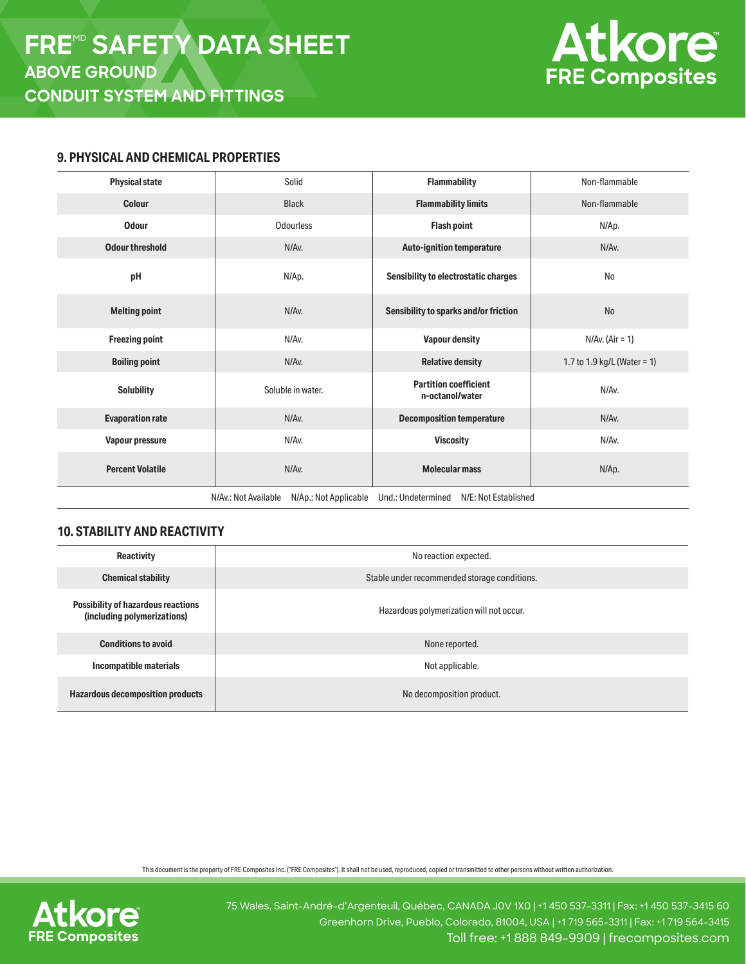

#### **9. PHYSICAL AND CHEMICAL PROPERTIES**

| <b>Physical state</b>                                                                       | Solid             | <b>Flammability</b>                             | Non-flammable               |  |
|---------------------------------------------------------------------------------------------|-------------------|-------------------------------------------------|-----------------------------|--|
| Colour                                                                                      | <b>Black</b>      | <b>Flammability limits</b>                      | Non-flammable               |  |
| <b>Odour</b>                                                                                | Odourless         | <b>Flash point</b>                              | N/Ap.                       |  |
| <b>Odour threshold</b>                                                                      | N/Av.             | <b>Auto-ignition temperature</b>                | N/Av.                       |  |
| pH                                                                                          | N/Ap.             | Sensibility to electrostatic charges            | N <sub>o</sub>              |  |
| <b>Melting point</b>                                                                        | N/Av.             | Sensibility to sparks and/or friction           | N <sub>o</sub>              |  |
| <b>Freezing point</b>                                                                       | N/Av.             | <b>Vapour density</b>                           | $N/Av.$ (Air = 1)           |  |
| <b>Boiling point</b>                                                                        | N/Av.             | <b>Relative density</b>                         | 1.7 to 1.9 kg/L (Water = 1) |  |
| <b>Solubility</b>                                                                           | Soluble in water. | <b>Partition coefficient</b><br>n-octanol/water | N/Av.                       |  |
| <b>Evaporation rate</b>                                                                     | N/Av.             | <b>Decomposition temperature</b>                | N/Av.                       |  |
| Vapour pressure                                                                             | N/Av.             | <b>Viscosity</b>                                | N/Av.                       |  |
| <b>Percent Volatile</b>                                                                     | N/Av.             | <b>Molecular mass</b>                           | N/Ap.                       |  |
| N/Av.: Not Available<br>Und.: Undetermined<br>N/E: Not Established<br>N/Ap.: Not Applicable |                   |                                                 |                             |  |

# **10. STABILITY AND REACTIVITY**

| <b>Reactivity</b>                                                        | No reaction expected.                        |  |  |
|--------------------------------------------------------------------------|----------------------------------------------|--|--|
| <b>Chemical stability</b>                                                | Stable under recommended storage conditions. |  |  |
| <b>Possibility of hazardous reactions</b><br>(including polymerizations) | Hazardous polymerization will not occur.     |  |  |
| <b>Conditions to avoid</b>                                               | None reported.                               |  |  |
| Incompatible materials                                                   | Not applicable.                              |  |  |
| <b>Hazardous decomposition products</b>                                  | No decomposition product.                    |  |  |

This document is the property of FRE Composites Inc. ("FRE Composites"). It shall not be used, reproduced, copied or transmitted to other persons without written authorization.

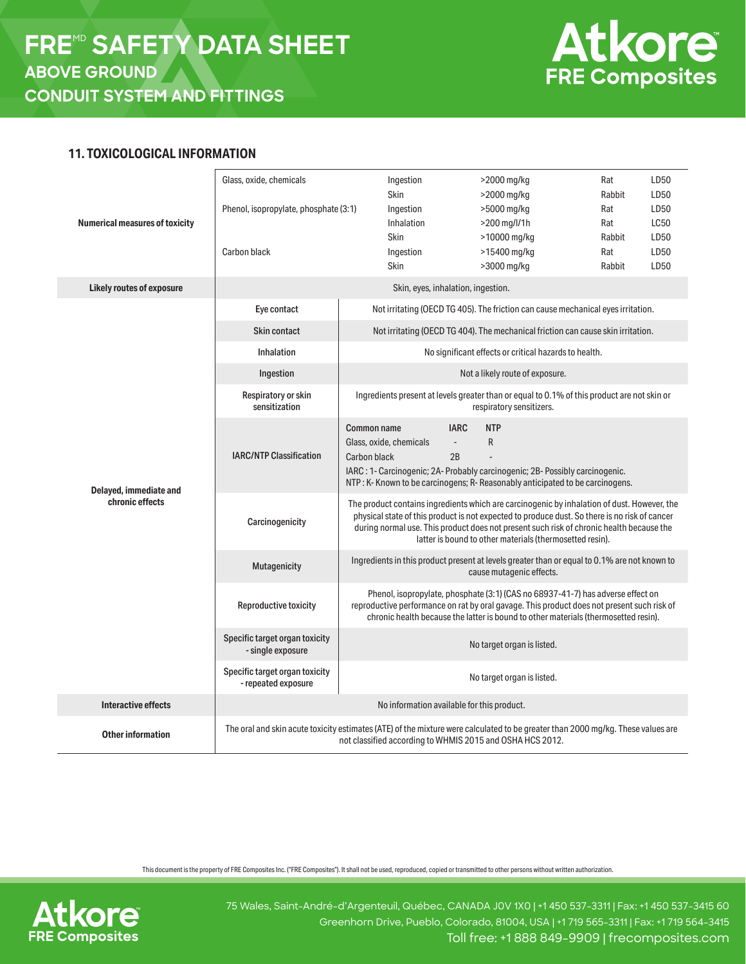

## **11. TOXICOLOGICAL INFORMATION**

| <b>Numerical measures of toxicity</b> | Glass, oxide, chemicals<br>Phenol, isopropylate, phosphate (3:1)<br>Carbon black                                                                                                             | Ingestion<br>Skin<br>Ingestion<br>Inhalation<br>Skin<br>Ingestion<br>Skin                                                                                                                                                                                            | >2000 mg/kg<br>>2000 mg/kg<br>>5000 mg/kg<br>>200 mg/l/1h<br>>10000 mg/kg<br>>15400 mg/kg<br>>3000 mg/kg                                                                                                                                                                                                                                             | Rat<br>Rabbit<br>Rat<br>Rat<br>Rabbit<br>Rat<br>Rabbit | LD50<br>LD50<br>LD50<br><b>LC50</b><br>LD50<br>LD50<br>LD50 |  |
|---------------------------------------|----------------------------------------------------------------------------------------------------------------------------------------------------------------------------------------------|----------------------------------------------------------------------------------------------------------------------------------------------------------------------------------------------------------------------------------------------------------------------|------------------------------------------------------------------------------------------------------------------------------------------------------------------------------------------------------------------------------------------------------------------------------------------------------------------------------------------------------|--------------------------------------------------------|-------------------------------------------------------------|--|
| Likely routes of exposure             |                                                                                                                                                                                              |                                                                                                                                                                                                                                                                      | Skin, eyes, inhalation, ingestion.                                                                                                                                                                                                                                                                                                                   |                                                        |                                                             |  |
|                                       | Eye contact                                                                                                                                                                                  | Not irritating (OECD TG 405). The friction can cause mechanical eyes irritation.                                                                                                                                                                                     |                                                                                                                                                                                                                                                                                                                                                      |                                                        |                                                             |  |
|                                       | <b>Skin contact</b>                                                                                                                                                                          |                                                                                                                                                                                                                                                                      | Not irritating (OECD TG 404). The mechanical friction can cause skin irritation.                                                                                                                                                                                                                                                                     |                                                        |                                                             |  |
|                                       | Inhalation                                                                                                                                                                                   |                                                                                                                                                                                                                                                                      | No significant effects or critical hazards to health.                                                                                                                                                                                                                                                                                                |                                                        |                                                             |  |
|                                       | Ingestion                                                                                                                                                                                    |                                                                                                                                                                                                                                                                      | Not a likely route of exposure.                                                                                                                                                                                                                                                                                                                      |                                                        |                                                             |  |
| Delayed, immediate and                | Respiratory or skin<br>sensitization                                                                                                                                                         | Ingredients present at levels greater than or equal to 0.1% of this product are not skin or<br>respiratory sensitizers.                                                                                                                                              |                                                                                                                                                                                                                                                                                                                                                      |                                                        |                                                             |  |
|                                       | <b>IARC/NTP Classification</b>                                                                                                                                                               | <b>Common name</b><br>Glass, oxide, chemicals<br>Carbon black                                                                                                                                                                                                        | <b>IARC</b><br><b>NTP</b><br>R<br>$\mathcal{L}_{\mathcal{A}}$<br>2B<br>IARC: 1- Carcinogenic; 2A- Probably carcinogenic; 2B- Possibly carcinogenic.<br>NTP: K- Known to be carcinogens; R- Reasonably anticipated to be carcinogens.                                                                                                                 |                                                        |                                                             |  |
| chronic effects                       | Carcinogenicity                                                                                                                                                                              |                                                                                                                                                                                                                                                                      | The product contains ingredients which are carcinogenic by inhalation of dust. However, the<br>physical state of this product is not expected to produce dust. So there is no risk of cancer<br>during normal use. This product does not present such risk of chronic health because the<br>latter is bound to other materials (thermosetted resin). |                                                        |                                                             |  |
|                                       | Mutagenicity                                                                                                                                                                                 |                                                                                                                                                                                                                                                                      | Ingredients in this product present at levels greater than or equal to 0.1% are not known to<br>cause mutagenic effects.                                                                                                                                                                                                                             |                                                        |                                                             |  |
|                                       | Reproductive toxicity                                                                                                                                                                        | Phenol, isopropylate, phosphate (3:1) (CAS no 68937-41-7) has adverse effect on<br>reproductive performance on rat by oral gavage. This product does not present such risk of<br>chronic health because the latter is bound to other materials (thermosetted resin). |                                                                                                                                                                                                                                                                                                                                                      |                                                        |                                                             |  |
|                                       | Specific target organ toxicity<br>- single exposure                                                                                                                                          | No target organ is listed.                                                                                                                                                                                                                                           |                                                                                                                                                                                                                                                                                                                                                      |                                                        |                                                             |  |
|                                       | Specific target organ toxicity<br>- repeated exposure                                                                                                                                        |                                                                                                                                                                                                                                                                      | No target organ is listed.                                                                                                                                                                                                                                                                                                                           |                                                        |                                                             |  |
| <b>Interactive effects</b>            |                                                                                                                                                                                              |                                                                                                                                                                                                                                                                      | No information available for this product.                                                                                                                                                                                                                                                                                                           |                                                        |                                                             |  |
| <b>Other information</b>              | The oral and skin acute toxicity estimates (ATE) of the mixture were calculated to be greater than 2000 mg/kg. These values are<br>not classified according to WHMIS 2015 and OSHA HCS 2012. |                                                                                                                                                                                                                                                                      |                                                                                                                                                                                                                                                                                                                                                      |                                                        |                                                             |  |

This document is the property of FRE Composites Inc. ("FRE Composites"). It shall not be used, reproduced, copied or transmitted to other persons without written authorization.

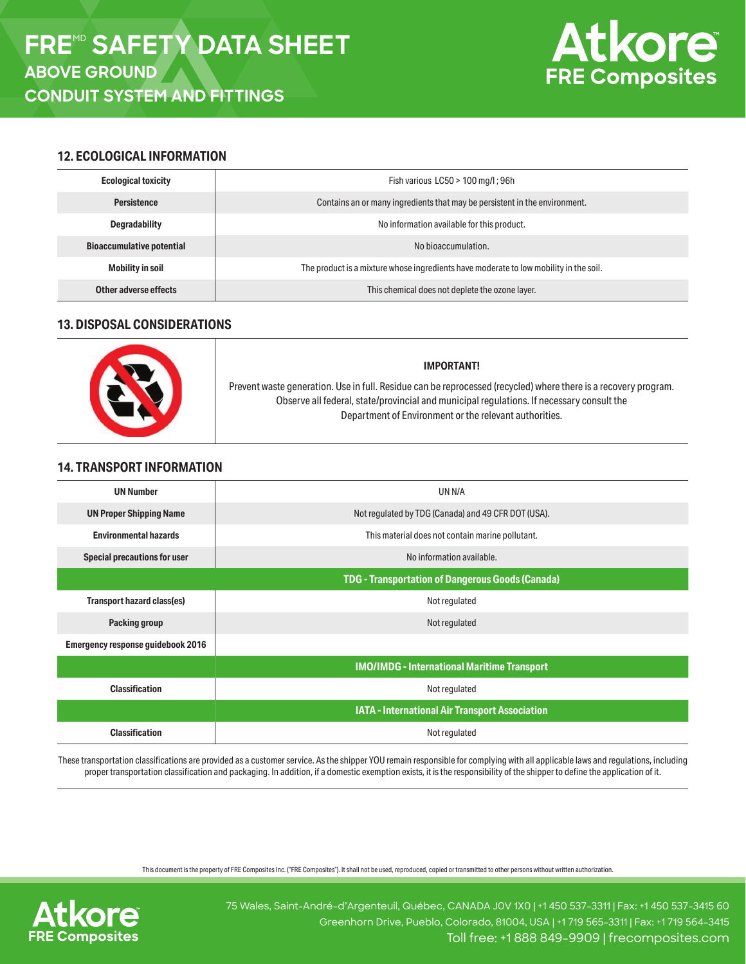

# **12. ECOLOGICAL INFORMATION**

| <b>Ecological toxicity</b>       | Fish various LC50 > 100 mg/l; 96h                                                     |  |  |  |
|----------------------------------|---------------------------------------------------------------------------------------|--|--|--|
| <b>Persistence</b>               | Contains an or many ingredients that may be persistent in the environment.            |  |  |  |
| <b>Degradability</b>             | No information available for this product.                                            |  |  |  |
| <b>Bioaccumulative potential</b> | No bioaccumulation.                                                                   |  |  |  |
| <b>Mobility in soil</b>          | The product is a mixture whose ingredients have moderate to low mobility in the soil. |  |  |  |
| Other adverse effects            | This chemical does not deplete the ozone layer.                                       |  |  |  |

# **13. DISPOSAL CONSIDERATIONS**

| <b>IMPORTANT!</b>                                                                                                                                                                                                                                                      |
|------------------------------------------------------------------------------------------------------------------------------------------------------------------------------------------------------------------------------------------------------------------------|
| Prevent waste generation. Use in full. Residue can be reprocessed (recycled) where there is a recovery program.<br>Observe all federal, state/provincial and municipal regulations. If necessary consult the<br>Department of Environment or the relevant authorities. |

# **14. TRANSPORT INFORMATION**

| <b>UN Number</b>                         | UN N/A                                                  |  |  |  |
|------------------------------------------|---------------------------------------------------------|--|--|--|
| <b>UN Proper Shipping Name</b>           | Not regulated by TDG (Canada) and 49 CFR DOT (USA).     |  |  |  |
| <b>Environmental hazards</b>             | This material does not contain marine pollutant.        |  |  |  |
| Special precautions for user             | No information available.                               |  |  |  |
|                                          | <b>TDG - Transportation of Dangerous Goods (Canada)</b> |  |  |  |
| Transport hazard class(es)               | Not regulated                                           |  |  |  |
| Packing group                            | Not regulated                                           |  |  |  |
| <b>Emergency response guidebook 2016</b> |                                                         |  |  |  |
|                                          | <b>IMO/IMDG - International Maritime Transport</b>      |  |  |  |
| <b>Classification</b>                    | Not regulated                                           |  |  |  |
|                                          | IATA - International Air Transport Association          |  |  |  |
| <b>Classification</b>                    | Not regulated                                           |  |  |  |
|                                          |                                                         |  |  |  |

These transportation classifications are provided as a customer service. As the shipper YOU remain responsible for complying with all applicable laws and regulations, including proper transportation classification and packaging. In addition, if a domestic exemption exists, it is the responsibility of the shipper to define the application of it.

This document is the property of FRE Composites Inc. ("FRE Composites"). It shall not be used, reproduced, copied or transmitted to other persons without written authorization.

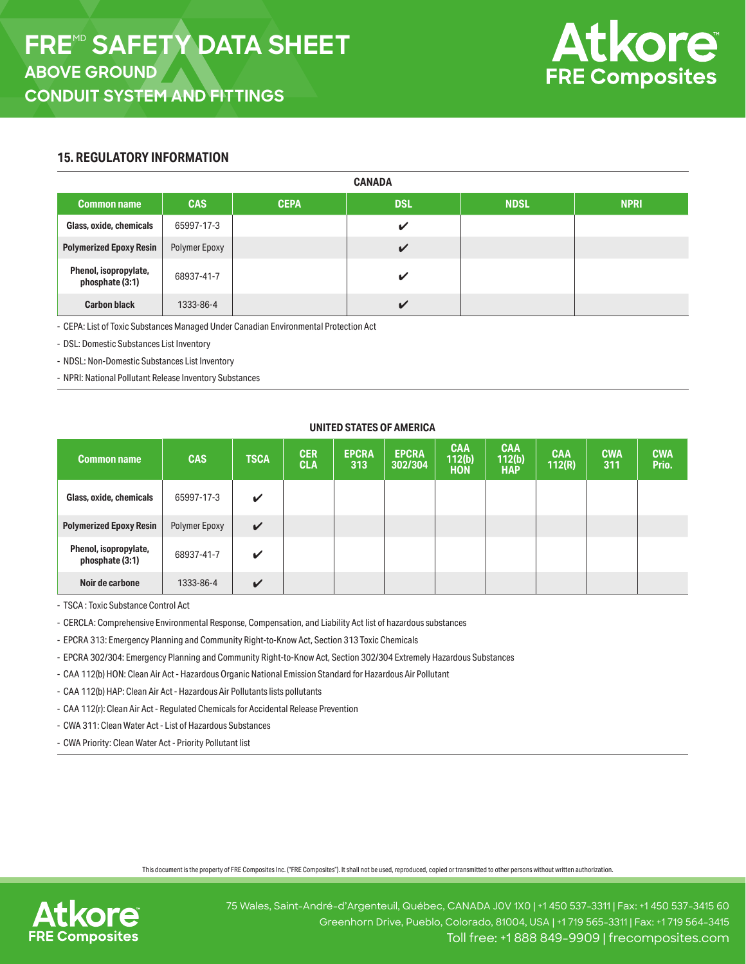

# **15. REGULATORY INFORMATION**

| <b>CANADA</b>                            |               |             |              |             |             |  |
|------------------------------------------|---------------|-------------|--------------|-------------|-------------|--|
| <b>Common name</b>                       | <b>CAS</b>    | <b>CEPA</b> | <b>DSL</b>   | <b>NDSL</b> | <b>NPRI</b> |  |
| Glass, oxide, chemicals                  | 65997-17-3    |             | ✔            |             |             |  |
| <b>Polymerized Epoxy Resin</b>           | Polymer Epoxy |             | $\checkmark$ |             |             |  |
| Phenol, isopropylate,<br>phosphate (3:1) | 68937-41-7    |             | ✔            |             |             |  |
| <b>Carbon black</b>                      | 1333-86-4     |             | $\checkmark$ |             |             |  |

- CEPA: List of Toxic Substances Managed Under Canadian Environmental Protection Act

- DSL: Domestic Substances List Inventory

- NDSL: Non-Domestic Substances List Inventory

- NPRI: National Pollutant Release Inventory Substances

#### **UNITED STATES OF AMERICA**

| <b>Common name</b>                       | <b>CAS</b>    | <b>TSCA</b>  | <b>CER</b><br><b>CLA</b> | <b>EPCRA</b><br>313 | <b>EPCRA</b><br>302/304 | <b>CAA</b><br>112(b)<br><b>HON</b> | <b>CAA</b><br>112(b)<br><b>HAP</b> | <b>CAA</b><br>112(R) | <b>CWA</b><br>311 | <b>CWA</b><br>Prio. |
|------------------------------------------|---------------|--------------|--------------------------|---------------------|-------------------------|------------------------------------|------------------------------------|----------------------|-------------------|---------------------|
| Glass, oxide, chemicals                  | 65997-17-3    | V            |                          |                     |                         |                                    |                                    |                      |                   |                     |
| <b>Polymerized Epoxy Resin</b>           | Polymer Epoxy | $\checkmark$ |                          |                     |                         |                                    |                                    |                      |                   |                     |
| Phenol, isopropylate,<br>phosphate (3:1) | 68937-41-7    | ✓            |                          |                     |                         |                                    |                                    |                      |                   |                     |
| Noir de carbone                          | 1333-86-4     | ✓            |                          |                     |                         |                                    |                                    |                      |                   |                     |

- TSCA : Toxic Substance Control Act

- CERCLA: Comprehensive Environmental Response, Compensation, and Liability Act list of hazardous substances

- EPCRA 313: Emergency Planning and Community Right-to-Know Act, Section 313 Toxic Chemicals

- EPCRA 302/304: Emergency Planning and Community Right-to-Know Act, Section 302/304 Extremely Hazardous Substances

- CAA 112(b) HON: Clean Air Act - Hazardous Organic National Emission Standard for Hazardous Air Pollutant

- CAA 112(b) HAP: Clean Air Act - Hazardous Air Pollutants lists pollutants

- CAA 112(r): Clean Air Act - Regulated Chemicals for Accidental Release Prevention

- CWA 311: Clean Water Act - List of Hazardous Substances

- CWA Priority: Clean Water Act - Priority Pollutant list

This document is the property of FRE Composites Inc. ("FRE Composites"). It shall not be used, reproduced, copied or transmitted to other persons without written authorization.